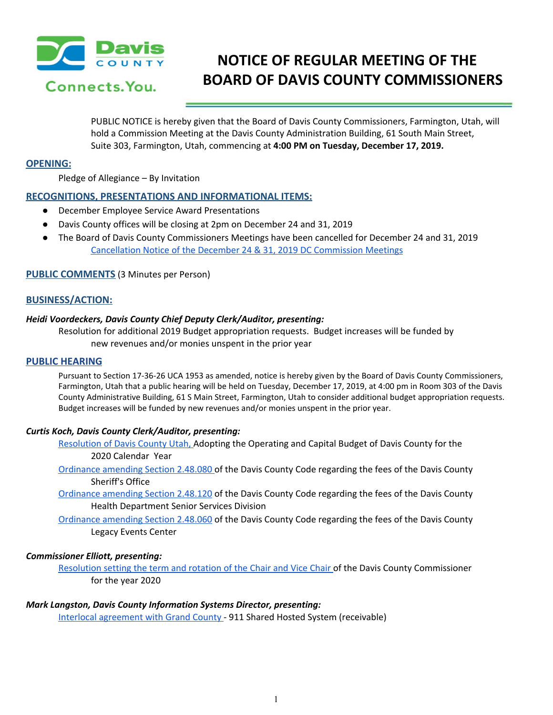

# **NOTICE OF REGULAR MEETING OF THE BOARD OF DAVIS COUNTY COMMISSIONERS**

PUBLIC NOTICE is hereby given that the Board of Davis County Commissioners, Farmington, Utah, will hold a Commission Meeting at the Davis County Administration Building, 61 South Main Street, Suite 303, Farmington, Utah, commencing at **4:00 PM on Tuesday, December 17, 2019.**

# **OPENING:**

Pledge of Allegiance – By Invitation

# **RECOGNITIONS, PRESENTATIONS AND INFORMATIONAL ITEMS:**

- December Employee Service Award Presentations
- Davis County offices will be closing at 2pm on December 24 and 31, 2019
- The Board of Davis County Commissioners Meetings have been cancelled for December 24 and 31, 2019 [Cancellation](https://drive.google.com/a/co.davis.ut.us/file/d/1vuvV6MU_bCM2Unirs1Khe6JCahpXsJMG/view?usp=drivesdk) Notice of the December 24 & 31, 2019 DC Commission Meetings

#### **PUBLIC COMMENTS** (3 Minutes per Person)

# **BUSINESS/ACTION:**

#### *Heidi Voordeckers, Davis County Chief Deputy Clerk/Auditor, presenting:*

Resolution for additional 2019 Budget [appropriation](https://drive.google.com/a/co.davis.ut.us/file/d/1AFASVaCCFzGmTFBBuYGvJfYilv_fNP1u/view?usp=drivesdk) requests. Budget increases will be funded by new [revenues](https://drive.google.com/a/co.davis.ut.us/file/d/1AFASVaCCFzGmTFBBuYGvJfYilv_fNP1u/view?usp=drivesdk) and/or monies unspent in the prior year

#### **PUBLIC HEARING**

Pursuant to Section 17-36-26 UCA 1953 as amended, notice is hereby given by the Board of Davis County Commissioners, Farmington, Utah that a public hearing will be held on Tuesday, December 17, 2019, at 4:00 pm in Room 303 of the Davis County Administrative Building, 61 S Main Street, Farmington, Utah to consider additional budget appropriation requests. Budget increases will be funded by new revenues and/or monies unspent in the prior year.

### *Curtis Koch, Davis County Clerk/Auditor, presenting:*

[Resolution](https://drive.google.com/a/co.davis.ut.us/file/d/1KYHemjY8UvsuU0RhYYL2tZ9CNO5BC9J7/view?usp=drivesdk) of Davis County Utah, Adopting the Operating and Capital Budget of Davis County for the 2020 Calendar Year

- [Ordinance](https://drive.google.com/a/co.davis.ut.us/file/d/1xAX3W3YePZRFAA3ZuyyoOWVxjjnXn3uK/view?usp=drivesdk) amending Section 2.48.080 of the Davis County Code regarding the fees of the Davis County Sheriff's Office
- [Ordinance](https://drive.google.com/a/co.davis.ut.us/file/d/1gHXyOUO429J0cCnYXRpH3zPUPhkVc6RB/view?usp=drivesdk) amending Section 2.48.120 of the Davis County Code regarding the fees of the Davis County Health Department Senior Services Division
- [Ordinance](https://drive.google.com/a/co.davis.ut.us/file/d/1qZzZRK6PfiZ2XzJS3HwsbLkKWxUSX5xx/view?usp=drivesdk) amending Section 2.48.060 of the Davis County Code regarding the fees of the Davis County Legacy Events Center

## *Commissioner Elliott, presenting:*

[Resolution](https://drive.google.com/a/co.davis.ut.us/file/d/1Q4S7FjonnArG9GMt1Q3A6JQilJ26qD8A/view?usp=drivesdk) setting the term and rotation of the Chair and Vice Chair of the Davis County Commissioner for the year 2020

#### *Mark Langston, Davis County Information Systems Director, presenting:*

Interlocal [agreement](https://drive.google.com/a/co.davis.ut.us/file/d/1iWgiLDsTo67xWT4-tu6_CMVdGyM45v7f/view?usp=drivesdk) with Grand County - 911 Shared Hosted System (receivable)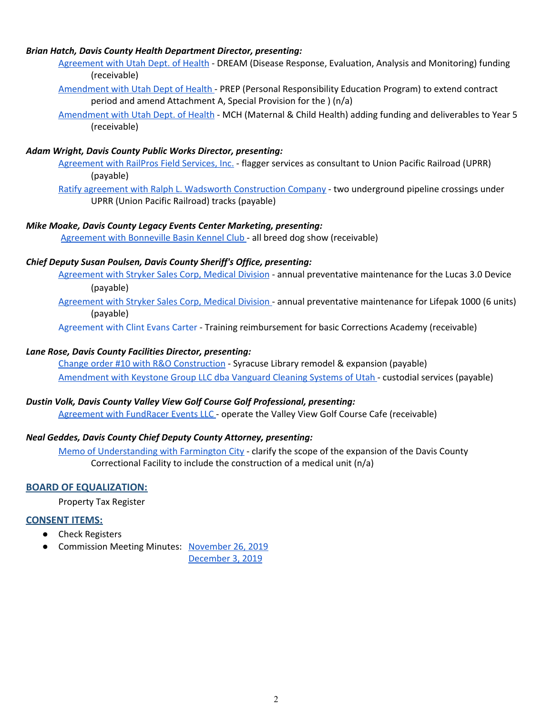# *Brian Hatch, Davis County Health Department Director, presenting:*

- [Agreement](https://drive.google.com/a/co.davis.ut.us/file/d/1fwbSZED9luK-RSxdnLoQgcqWln-TLweY/view?usp=drivesdk) with Utah Dept. of Health DREAM (Disease Response, Evaluation, Analysis and Monitoring) funding (receivable)
- [Amendment](https://drive.google.com/a/co.davis.ut.us/file/d/10r_ptMXFoMsk7EVqk5BD2tP0y6G0CLg3/view?usp=drivesdk) with Utah Dept of Health PREP (Personal Responsibility Education Program) to extend contract period and amend Attachment A, Special Provision for the ) (n/a)
- [Amendment](https://drive.google.com/a/co.davis.ut.us/file/d/1nL-IUy3CrTt6h_TDzbg4b2Q0nZZvXsit/view?usp=drivesdk) with Utah Dept. of Health MCH (Maternal & Child Health) adding funding and deliverables to Year 5 (receivable)

# *Adam Wright, Davis County Public Works Director, presenting:*

[Agreement](https://drive.google.com/a/co.davis.ut.us/file/d/1rvBPmtzpaVl8_9KVwX2bbNOaSAY5ZY_G/view?usp=drivesdk) with RailPros Field Services, Inc. - flagger services as consultant to Union Pacific Railroad (UPRR) (payable)

Ratify agreement with Ralph L. Wadsworth [Construction](https://drive.google.com/a/co.davis.ut.us/file/d/1gqhGqc0jXwh-HLRwcekvzexDSJQDwZqc/view?usp=drivesdk) Company - two underground pipeline crossings under UPRR (Union Pacific Railroad) tracks (payable)

# *Mike Moake, Davis County Legacy Events Center Marketing, presenting:*

[Agreement](https://drive.google.com/a/co.davis.ut.us/file/d/1SX8DPIkRbSETkKSkQ5fsAVDI7nUXKidr/view?usp=drivesdk) with Bonneville Basin Kennel Club - all breed dog show (receivable)

# *Chief Deputy Susan Poulsen, Davis County Sheriff's Office, presenting:*

[Agreement](https://drive.google.com/a/co.davis.ut.us/file/d/1FuE0_EWySMycaOSYf2O2aSGh8WJRdY64/view?usp=drivesdk) with Stryker Sales Corp, Medical Division - annual preventative maintenance for the Lucas 3.0 Devic[e](https://drive.google.com/a/co.davis.ut.us/file/d/1FuE0_EWySMycaOSYf2O2aSGh8WJRdY64/view?usp=drivesdk) (payable)

[Agreement](https://drive.google.com/a/co.davis.ut.us/file/d/106H7l9sHkaiVRuaavQvSyEvMDhmshZeK/view?usp=drivesdk) with Stryker Sales Corp, Medical Division - annual preventative maintenance for Lifepak 1000 (6 units) (payable)

[Agreement](https://drive.google.com/a/co.davis.ut.us/file/d/1IaR3Bjb7eJBYi9LXNsWHbAESTT4LGBnt/view?usp=drivesdk) with Clint Evans Carter - Training reimbursement for basic Corrections Academy (receivable)

# *Lane Rose, Davis County Facilities Director, presenting:*

Change order #10 with R&O [Construction](https://drive.google.com/a/co.davis.ut.us/file/d/1PEBMAm4kGoU-5ZXSBk89VJUTmXC73gJb/view?usp=drivesdk) - Syracuse Library remodel & expansion (payable) [Amendment](https://drive.google.com/a/co.davis.ut.us/file/d/1BK0FcAoE2Dxgz9PqEq_ve_CAcEdCe4rv/view?usp=drivesdk) with Keystone Group LLC dba Vanguard Cleaning Systems of Utah - custodial services (payable)

## *Dustin Volk, Davis County Valley View Golf Course Golf Professional, presenting:*

[Agreement](https://drive.google.com/a/co.davis.ut.us/file/d/1t0tDQAToxpyr3D3CjNx2UFzlpuxfRJX0/view?usp=drivesdk) with FundRacer Events LLC - operate the Valley View Golf Course Cafe (receivable)

# *Neal Geddes, Davis County Chief Deputy County Attorney, presenting:*

Memo of [Understanding](https://drive.google.com/a/co.davis.ut.us/file/d/1tWiKPz0fbjUGkFm58p8G8-T9oYVG4Lcb/view?usp=drivesdk) with Farmington City - clarify the scope of the expansion of the Davis County Correctional Facility to include the construction of a medical unit (n/a)

# **BOARD OF EQUALIZATION:**

Property Tax Register

# **CONSENT ITEMS:**

- Check Registers
- Commission Meeting Minutes: [November](https://drive.google.com/a/co.davis.ut.us/file/d/1WPhKmofu7NQ6Sed_0arb_XiTxCO67S1n/view?usp=drivesdk) 26, 2019

[December](https://drive.google.com/a/co.davis.ut.us/file/d/1fl6-GxoT65wvdk2u_CFR3cIHXnPLr1xo/view?usp=drivesdk) 3, 2019